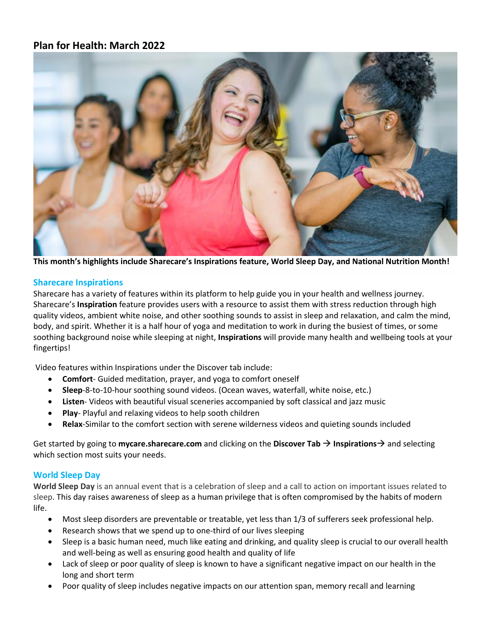# **Plan for Health: March 2022**



**This month's highlights include Sharecare's Inspirations feature, World Sleep Day, and National Nutrition Month!**

### **Sharecare Inspirations**

Sharecare has a variety of features within its platform to help guide you in your health and wellness journey. Sharecare's **Inspiration** feature provides users with a resource to assist them with stress reduction through high quality videos, ambient white noise, and other soothing sounds to assist in sleep and relaxation, and calm the mind, body, and spirit. Whether it is a half hour of yoga and meditation to work in during the busiest of times, or some soothing background noise while sleeping at night, **Inspirations** will provide many health and wellbeing tools at your fingertips!

Video features within Inspirations under the Discover tab include:

- **Comfort** Guided meditation, prayer, and yoga to comfort oneself
- **Sleep**-8-to-10-hour soothing sound videos. (Ocean waves, waterfall, white noise, etc.)
- **Listen** Videos with beautiful visual sceneries accompanied by soft classical and jazz music
- **Play** Playful and relaxing videos to help sooth children
- **Relax**-Similar to the comfort section with serene wilderness videos and quieting sounds included

Get started by going to **mycare.sharecare.com** and clicking on the **Discover Tab** → **Inspirations**→ and selecting which section most suits your needs.

## **World Sleep Day**

**World Sleep Day** is an annual event that is a celebration of sleep and a call to action on important issues related to sleep. This day raises awareness of sleep as a human privilege that is often compromised by the habits of modern life.

- Most sleep disorders are preventable or treatable, yet less than 1/3 of sufferers seek professional help.
- Research shows that we spend up to one-third of our lives sleeping
- Sleep is a basic human need, much like eating and drinking, and quality sleep is crucial to our overall health and well-being as well as ensuring good health and quality of life
- Lack of sleep or poor quality of sleep is known to have a significant negative impact on our health in the long and short term
- Poor quality of sleep includes negative impacts on our attention span, memory recall and learning